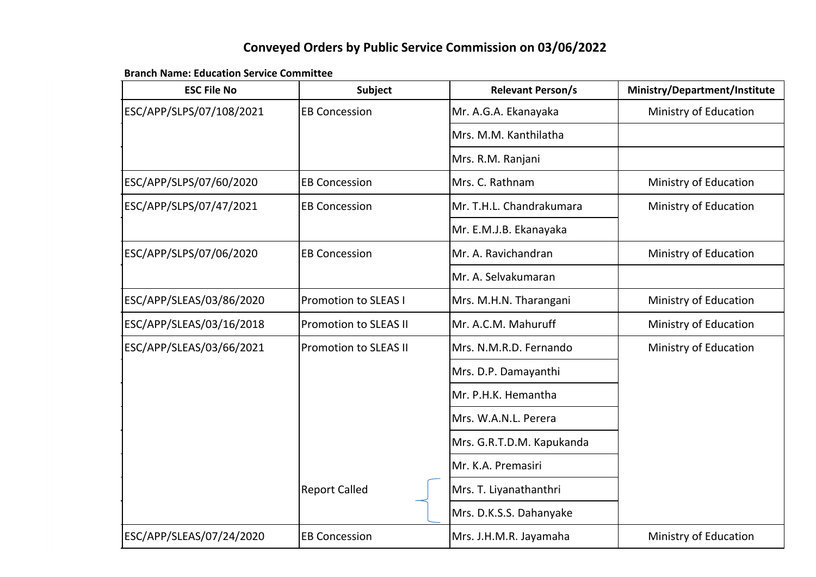### **Conveyed Orders by Public Service Commission on 03/06/2022**

### **Branch Name: Education Service Committee**

| <b>ESC File No</b>       | <b>Subject</b>               | <b>Relevant Person/s</b>  | Ministry/Department/Institute |
|--------------------------|------------------------------|---------------------------|-------------------------------|
| ESC/APP/SLPS/07/108/2021 | <b>EB Concession</b>         | Mr. A.G.A. Ekanayaka      | Ministry of Education         |
|                          |                              | Mrs. M.M. Kanthilatha     |                               |
|                          |                              | Mrs. R.M. Ranjani         |                               |
| ESC/APP/SLPS/07/60/2020  | <b>EB Concession</b>         | Mrs. C. Rathnam           | Ministry of Education         |
| ESC/APP/SLPS/07/47/2021  | <b>EB Concession</b>         | Mr. T.H.L. Chandrakumara  | Ministry of Education         |
|                          |                              | Mr. E.M.J.B. Ekanayaka    |                               |
| ESC/APP/SLPS/07/06/2020  | <b>EB Concession</b>         | Mr. A. Ravichandran       | Ministry of Education         |
|                          |                              | Mr. A. Selvakumaran       |                               |
| ESC/APP/SLEAS/03/86/2020 | <b>Promotion to SLEAS I</b>  | Mrs. M.H.N. Tharangani    | Ministry of Education         |
| ESC/APP/SLEAS/03/16/2018 | <b>Promotion to SLEAS II</b> | Mr. A.C.M. Mahuruff       | Ministry of Education         |
| ESC/APP/SLEAS/03/66/2021 | <b>Promotion to SLEAS II</b> | Mrs. N.M.R.D. Fernando    | Ministry of Education         |
|                          |                              | Mrs. D.P. Damayanthi      |                               |
|                          |                              | Mr. P.H.K. Hemantha       |                               |
|                          |                              | Mrs. W.A.N.L. Perera      |                               |
|                          |                              | Mrs. G.R.T.D.M. Kapukanda |                               |
|                          |                              | Mr. K.A. Premasiri        |                               |
|                          | <b>Report Called</b>         | Mrs. T. Liyanathanthri    |                               |
|                          |                              | Mrs. D.K.S.S. Dahanyake   |                               |
| ESC/APP/SLEAS/07/24/2020 | <b>EB Concession</b>         | Mrs. J.H.M.R. Jayamaha    | Ministry of Education         |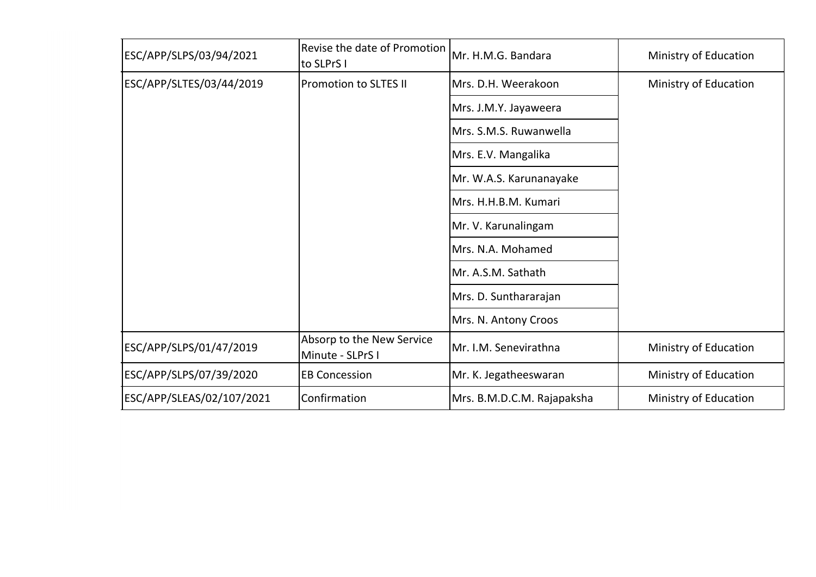| ESC/APP/SLPS/03/94/2021   | Revise the date of Promotion<br>to SLPrS I    | Mr. H.M.G. Bandara         | Ministry of Education |
|---------------------------|-----------------------------------------------|----------------------------|-----------------------|
| ESC/APP/SLTES/03/44/2019  | <b>Promotion to SLTES II</b>                  | Mrs. D.H. Weerakoon        | Ministry of Education |
|                           |                                               | Mrs. J.M.Y. Jayaweera      |                       |
|                           |                                               | Mrs. S.M.S. Ruwanwella     |                       |
|                           |                                               | Mrs. E.V. Mangalika        |                       |
|                           |                                               | Mr. W.A.S. Karunanayake    |                       |
|                           |                                               | Mrs. H.H.B.M. Kumari       |                       |
|                           |                                               | Mr. V. Karunalingam        |                       |
|                           |                                               | Mrs. N.A. Mohamed          |                       |
|                           |                                               | Mr. A.S.M. Sathath         |                       |
|                           |                                               | Mrs. D. Sunthararajan      |                       |
|                           |                                               | Mrs. N. Antony Croos       |                       |
| ESC/APP/SLPS/01/47/2019   | Absorp to the New Service<br>Minute - SLPrS I | Mr. I.M. Senevirathna      | Ministry of Education |
| ESC/APP/SLPS/07/39/2020   | <b>EB Concession</b>                          | Mr. K. Jegatheeswaran      | Ministry of Education |
| ESC/APP/SLEAS/02/107/2021 | Confirmation                                  | Mrs. B.M.D.C.M. Rajapaksha | Ministry of Education |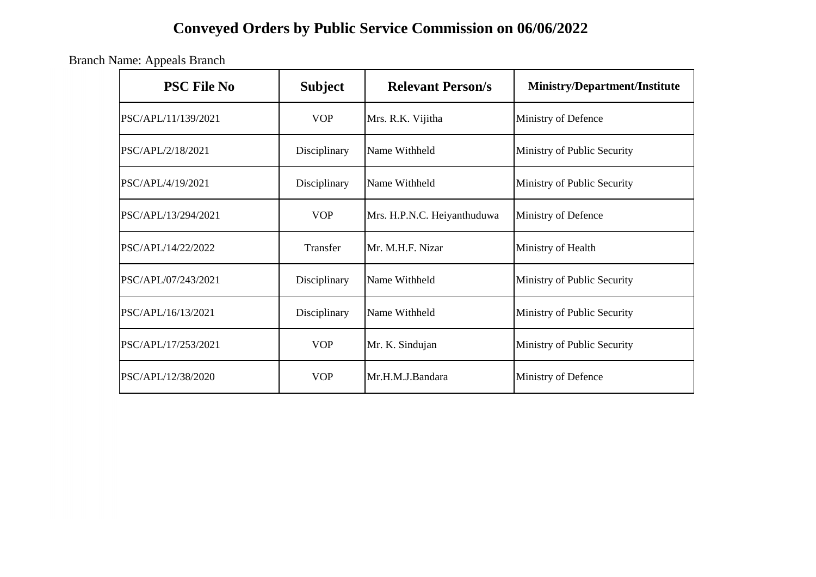# **Conveyed Orders by Public Service Commission on 06/06/2022**

Branch Name: Appeals Branch

| <b>PSC File No</b>  | <b>Subject</b> | <b>Relevant Person/s</b>    | <b>Ministry/Department/Institute</b> |
|---------------------|----------------|-----------------------------|--------------------------------------|
| PSC/APL/11/139/2021 | <b>VOP</b>     | Mrs. R.K. Vijitha           | Ministry of Defence                  |
| PSC/APL/2/18/2021   | Disciplinary   | Name Withheld               | Ministry of Public Security          |
| PSC/APL/4/19/2021   | Disciplinary   | Name Withheld               | Ministry of Public Security          |
| PSC/APL/13/294/2021 | <b>VOP</b>     | Mrs. H.P.N.C. Heiyanthuduwa | Ministry of Defence                  |
| PSC/APL/14/22/2022  | Transfer       | Mr. M.H.F. Nizar            | Ministry of Health                   |
| PSC/APL/07/243/2021 | Disciplinary   | Name Withheld               | Ministry of Public Security          |
| PSC/APL/16/13/2021  | Disciplinary   | Name Withheld               | Ministry of Public Security          |
| PSC/APL/17/253/2021 | <b>VOP</b>     | Mr. K. Sindujan             | Ministry of Public Security          |
| PSC/APL/12/38/2020  | <b>VOP</b>     | Mr.H.M.J.Bandara            | Ministry of Defence                  |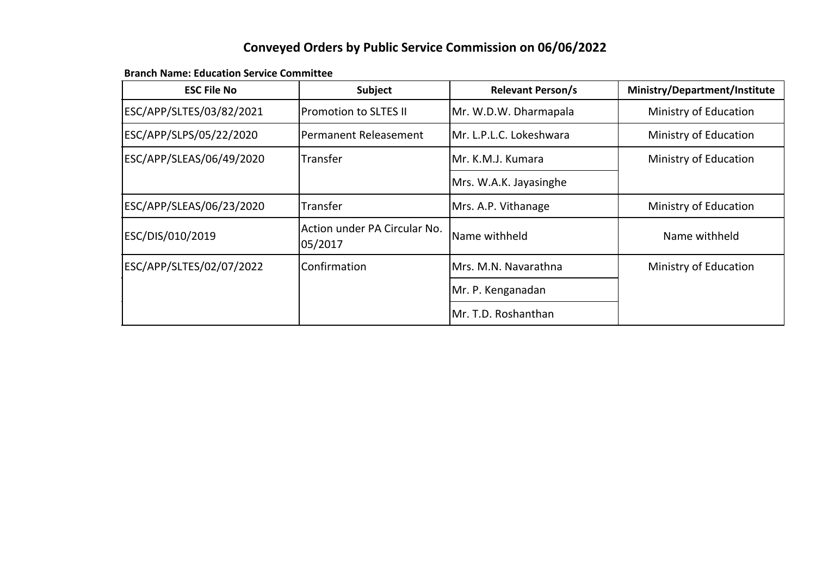### **Conveyed Orders by Public Service Commission on 06/06/2022**

#### **Branch Name: Education Service Committee**

| <b>ESC File No</b>       | Subject                                 | <b>Relevant Person/s</b> | <b>Ministry/Department/Institute</b> |
|--------------------------|-----------------------------------------|--------------------------|--------------------------------------|
| ESC/APP/SLTES/03/82/2021 | <b>Promotion to SLTES II</b>            | Mr. W.D.W. Dharmapala    | Ministry of Education                |
| ESC/APP/SLPS/05/22/2020  | Permanent Releasement                   | Mr. L.P.L.C. Lokeshwara  | Ministry of Education                |
| ESC/APP/SLEAS/06/49/2020 | <b>Transfer</b>                         | lMr. K.M.J. Kumara       | Ministry of Education                |
|                          |                                         | Mrs. W.A.K. Jayasinghe   |                                      |
| ESC/APP/SLEAS/06/23/2020 | Transfer                                | Mrs. A.P. Vithanage      | Ministry of Education                |
| ESC/DIS/010/2019         | Action under PA Circular No.<br>05/2017 | Name withheld            | Name withheld                        |
| ESC/APP/SLTES/02/07/2022 | <b>Confirmation</b>                     | Mrs. M.N. Navarathna     | Ministry of Education                |
|                          |                                         | Mr. P. Kenganadan        |                                      |
|                          |                                         | Mr. T.D. Roshanthan      |                                      |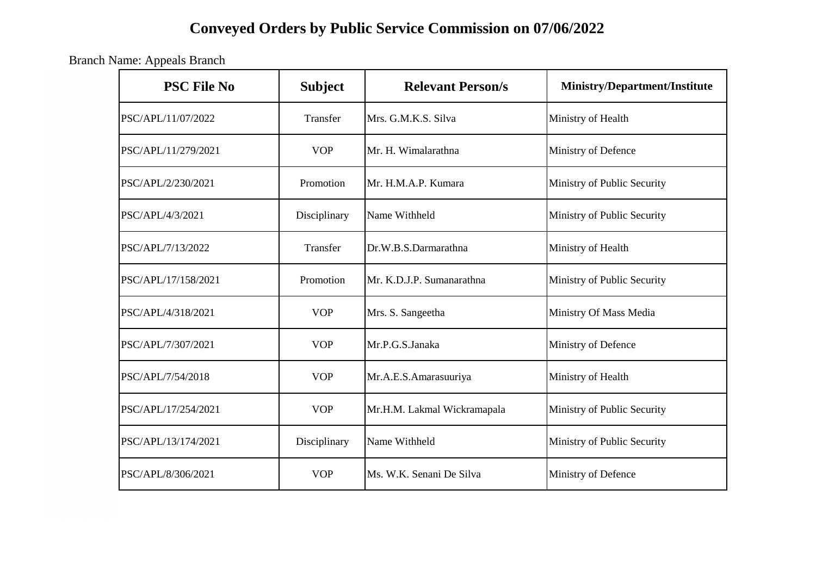# **Conveyed Orders by Public Service Commission on 07/06/2022**

Branch Name: Appeals Branch

| <b>PSC File No</b>  | <b>Subject</b> | <b>Relevant Person/s</b>    | Ministry/Department/Institute |
|---------------------|----------------|-----------------------------|-------------------------------|
| PSC/APL/11/07/2022  | Transfer       | Mrs. G.M.K.S. Silva         | Ministry of Health            |
| PSC/APL/11/279/2021 | <b>VOP</b>     | Mr. H. Wimalarathna         | Ministry of Defence           |
| PSC/APL/2/230/2021  | Promotion      | Mr. H.M.A.P. Kumara         | Ministry of Public Security   |
| PSC/APL/4/3/2021    | Disciplinary   | Name Withheld               | Ministry of Public Security   |
| PSC/APL/7/13/2022   | Transfer       | Dr.W.B.S.Darmarathna        | Ministry of Health            |
| PSC/APL/17/158/2021 | Promotion      | Mr. K.D.J.P. Sumanarathna   | Ministry of Public Security   |
| PSC/APL/4/318/2021  | <b>VOP</b>     | Mrs. S. Sangeetha           | Ministry Of Mass Media        |
| PSC/APL/7/307/2021  | <b>VOP</b>     | Mr.P.G.S.Janaka             | Ministry of Defence           |
| PSC/APL/7/54/2018   | <b>VOP</b>     | Mr.A.E.S.Amarasuuriya       | Ministry of Health            |
| PSC/APL/17/254/2021 | <b>VOP</b>     | Mr.H.M. Lakmal Wickramapala | Ministry of Public Security   |
| PSC/APL/13/174/2021 | Disciplinary   | Name Withheld               | Ministry of Public Security   |
| PSC/APL/8/306/2021  | <b>VOP</b>     | Ms. W.K. Senani De Silva    | Ministry of Defence           |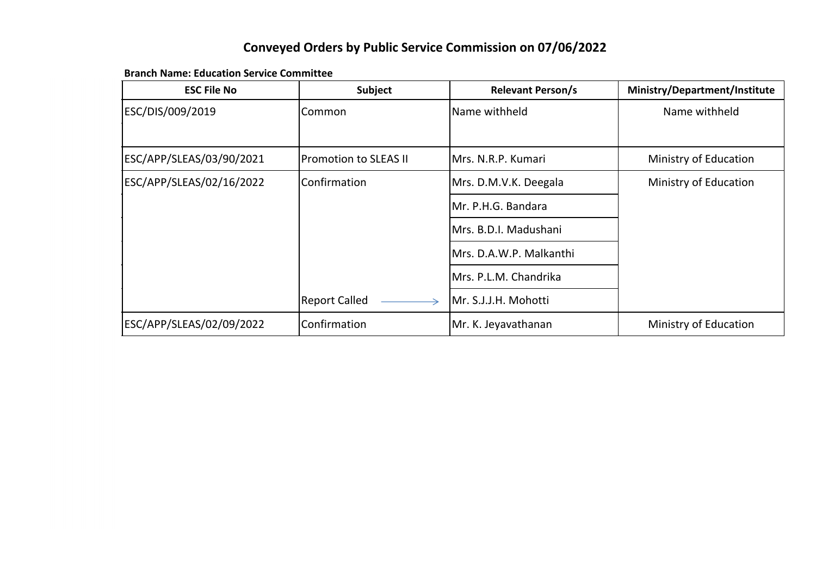### **Conveyed Orders by Public Service Commission on 07/06/2022**

**Branch Name: Education Service Committee**

| <b>ESC File No</b>       | <b>Subject</b>               | <b>Relevant Person/s</b> | Ministry/Department/Institute |
|--------------------------|------------------------------|--------------------------|-------------------------------|
| ESC/DIS/009/2019         | Common                       | Name withheld            | Name withheld                 |
|                          |                              |                          |                               |
| ESC/APP/SLEAS/03/90/2021 | <b>Promotion to SLEAS II</b> | Mrs. N.R.P. Kumari       | Ministry of Education         |
| ESC/APP/SLEAS/02/16/2022 | Confirmation                 | Mrs. D.M.V.K. Deegala    | Ministry of Education         |
|                          |                              | Mr. P.H.G. Bandara       |                               |
|                          |                              | Mrs. B.D.I. Madushani    |                               |
|                          |                              | Mrs. D.A.W.P. Malkanthi  |                               |
|                          |                              | Mrs. P.L.M. Chandrika    |                               |
|                          | <b>Report Called</b>         | Mr. S.J.J.H. Mohotti     |                               |
| ESC/APP/SLEAS/02/09/2022 | Confirmation                 | Mr. K. Jeyavathanan      | Ministry of Education         |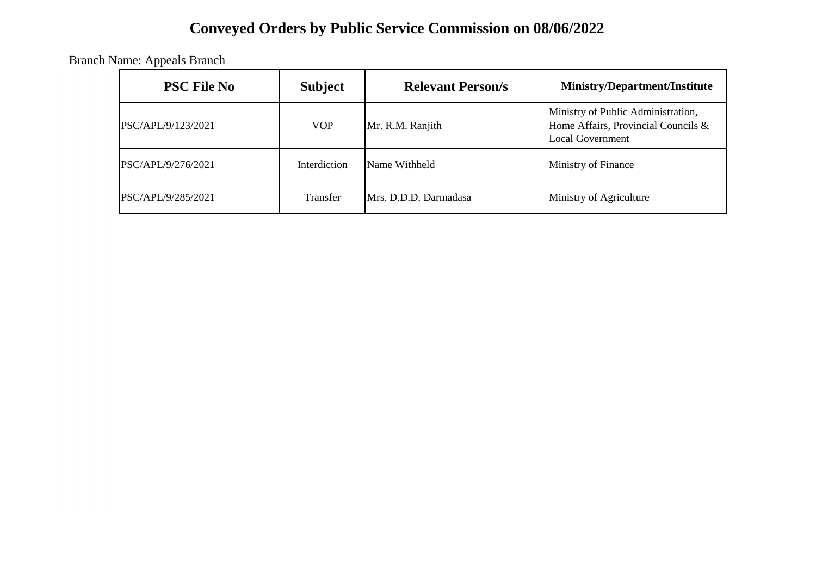# **Conveyed Orders by Public Service Commission on 08/06/2022**

Branch Name: Appeals Branch

| <b>PSC File No</b> | <b>Subject</b> | <b>Relevant Person/s</b> | <b>Ministry/Department/Institute</b>                                                                 |
|--------------------|----------------|--------------------------|------------------------------------------------------------------------------------------------------|
| PSC/APL/9/123/2021 | <b>VOP</b>     | Mr. R.M. Ranjith         | Ministry of Public Administration,<br>Home Affairs, Provincial Councils &<br><b>Local Government</b> |
| PSC/APL/9/276/2021 | Interdiction   | Name Withheld            | Ministry of Finance                                                                                  |
| PSC/APL/9/285/2021 | Transfer       | Mrs. D.D.D. Darmadasa    | Ministry of Agriculture                                                                              |